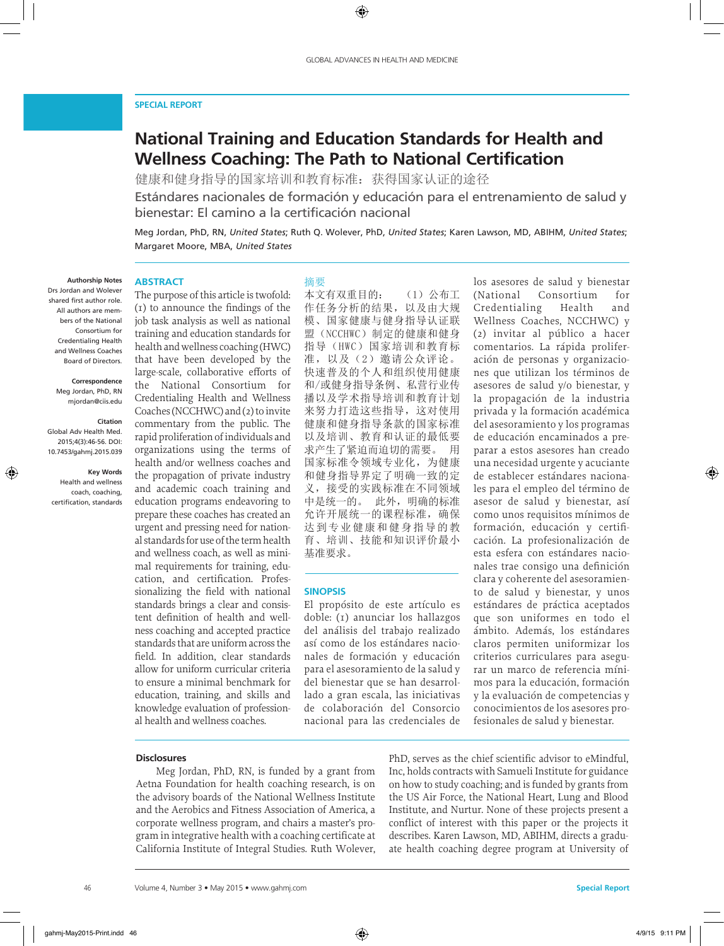### **SPECIAL REPORT**

# **National Training and Education Standards for Health and Wellness Coaching: The Path to National Certification**

健康和健身指导的国家培训和教育标准:获得国家认证的途径

Estándares nacionales de formación y educación para el entrenamiento de salud y bienestar: El camino a la certificación nacional

Meg Jordan, PhD, RN, *United States*; Ruth Q. Wolever, PhD, *United States*; Karen Lawson, MD, ABIHM, *United States*; Margaret Moore, MBA, *United States*

#### **Abstract**

**Authorship Notes** Drs Jordan and Wolever shared first author role. All authors are members of the National Consortium for Credentialing Health and Wellness Coaches Board of Directors.

#### **Correspondence** Meg Jordan, PhD, RN mjordan@ciis.edu

#### **Citation**

Global Adv Health Med. 2015;4(3):46-56. DOI: 10.7453/gahmj.2015.039

**Key Words** Health and wellness coach, coaching, certification, standards

The purpose of this article is twofold: (1) to announce the findings of the job task analysis as well as national training and education standards for health and wellness coaching (HWC) that have been developed by the large-scale, collaborative efforts of the National Consortium for Credentialing Health and Wellness Coaches (NCCHWC) and (2) to invite commentary from the public. The rapid proliferation of individuals and organizations using the terms of health and/or wellness coaches and the propagation of private industry and academic coach training and education programs endeavoring to prepare these coaches has created an urgent and pressing need for national standards for use of the term health and wellness coach, as well as minimal requirements for training, education, and certification. Professionalizing the field with national standards brings a clear and consistent definition of health and wellness coaching and accepted practice standards that are uniform across the field. In addition, clear standards allow for uniform curricular criteria to ensure a minimal benchmark for education, training, and skills and knowledge evaluation of professional health and wellness coaches.

### 摘要

本文有双重目的: (1)公布工 作任务分析的结果, 以及由大规 模、国家健康与健身指导认证联 盟(NCCHWC)制定的健康和健身 指导(HWC)国家培训和教育标 准,以及(2)邀请公众评论。 快速普及的个人和组织使用健康 和/或健身指导条例、私营行业传 播以及学术指导培训和教育计划 来努力打造这些指导,这对使用 健康和健身指导条款的国家标准 以及培训、教育和认证的最低要 求产生了紧迫而迫切的需要。 用 国家标准令领域专业化,为健康 和健身指导界定了明确一致的定 义,接受的实践标准在不同领域 中是统一的。 此外,明确的标准 允许开展统一的课程标准,确保 达到专业健康和健身指导的教 育、培训、技能和知识评价最小 基准要求。

#### **Sinopsis**

El propósito de este artículo es doble: (1) anunciar los hallazgos del análisis del trabajo realizado así como de los estándares nacionales de formación y educación para el asesoramiento de la salud y del bienestar que se han desarrollado a gran escala, las iniciativas de colaboración del Consorcio nacional para las credenciales de

los asesores de salud y bienestar (National Consortium for Credentialing Health and Wellness Coaches, NCCHWC) y (2) invitar al público a hacer comentarios. La rápida proliferación de personas y organizaciones que utilizan los términos de asesores de salud y/o bienestar, y la propagación de la industria privada y la formación académica del asesoramiento y los programas de educación encaminados a preparar a estos asesores han creado una necesidad urgente y acuciante de establecer estándares nacionales para el empleo del término de asesor de salud y bienestar, así como unos requisitos mínimos de formación, educación y certificación. La profesionalización de esta esfera con estándares nacionales trae consigo una definición clara y coherente del asesoramiento de salud y bienestar, y unos estándares de práctica aceptados que son uniformes en todo el ámbito. Además, los estándares claros permiten uniformizar los criterios curriculares para asegurar un marco de referencia mínimos para la educación, formación y la evaluación de competencias y conocimientos de los asesores profesionales de salud y bienestar.

### **Disclosures**

Meg Jordan, PhD, RN, is funded by a grant from Aetna Foundation for health coaching research, is on the advisory boards of the National Wellness Institute and the Aerobics and Fitness Association of America, a corporate wellness program, and chairs a master's program in integrative health with a coaching certificate at California Institute of Integral Studies. Ruth Wolever, PhD, serves as the chief scientific advisor to eMindful, Inc, holds contracts with Samueli Institute for guidance on how to study coaching; and is funded by grants from the US Air Force, the National Heart, Lung and Blood Institute, and Nurtur. None of these projects present a conflict of interest with this paper or the projects it describes. Karen Lawson, MD, ABIHM, directs a graduate health coaching degree program at University of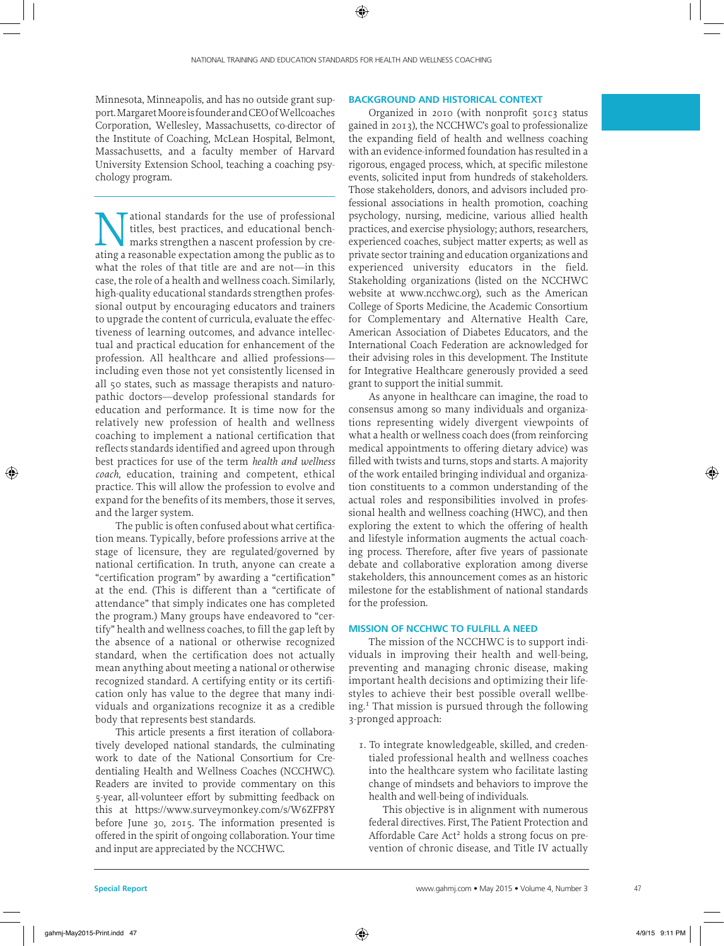Minnesota, Minneapolis, and has no outside grant support. Margaret Moore is founder and CEO of Wellcoaches Corporation, Wellesley, Massachusetts, co-director of the Institute of Coaching, McLean Hospital, Belmont, Massachusetts, and a faculty member of Harvard University Extension School, teaching a coaching psychology program.

Mational standards for the use of professional<br>
titles, best practices, and educational bench-<br>
marks strengthen a nascent profession by cre-<br>
ating a reasonable expectation among the public as to titles, best practices, and educational benchating a reasonable expectation among the public as to what the roles of that title are and are not—in this case, the role of a health and wellness coach. Similarly, high-quality educational standards strengthen professional output by encouraging educators and trainers to upgrade the content of curricula, evaluate the effectiveness of learning outcomes, and advance intellectual and practical education for enhancement of the profession. All healthcare and allied professions including even those not yet consistently licensed in all 50 states, such as massage therapists and naturopathic doctors—develop professional standards for education and performance. It is time now for the relatively new profession of health and wellness coaching to implement a national certification that reflects standards identified and agreed upon through best practices for use of the term *health and wellness coach*, education, training and competent, ethical practice. This will allow the profession to evolve and expand for the benefits of its members, those it serves, and the larger system.

The public is often confused about what certification means. Typically, before professions arrive at the stage of licensure, they are regulated/governed by national certification. In truth, anyone can create a "certification program" by awarding a "certification" at the end. (This is different than a "certificate of attendance" that simply indicates one has completed the program.) Many groups have endeavored to "certify" health and wellness coaches, to fill the gap left by the absence of a national or otherwise recognized standard, when the certification does not actually mean anything about meeting a national or otherwise recognized standard. A certifying entity or its certification only has value to the degree that many individuals and organizations recognize it as a credible body that represents best standards.

This article presents a first iteration of collaboratively developed national standards, the culminating work to date of the National Consortium for Credentialing Health and Wellness Coaches (NCCHWC). Readers are invited to provide commentary on this 5-year, all-volunteer effort by submitting feedback on this at https://www.surveymonkey.com/s/W6ZFP8Y before June 30, 2015. The information presented is offered in the spirit of ongoing collaboration. Your time and input are appreciated by the NCCHWC.

### **Background and Historical Context**

Organized in 2010 (with nonprofit 501c3 status gained in 2013), the NCCHWC's goal to professionalize the expanding field of health and wellness coaching with an evidence-informed foundation has resulted in a rigorous, engaged process, which, at specific milestone events, solicited input from hundreds of stakeholders. Those stakeholders, donors, and advisors included professional associations in health promotion, coaching psychology, nursing, medicine, various allied health practices, and exercise physiology; authors, researchers, experienced coaches, subject matter experts; as well as private sector training and education organizations and experienced university educators in the field. Stakeholding organizations (listed on the NCCHWC website at www.ncchwc.org), such as the American College of Sports Medicine, the Academic Consortium for Complementary and Alternative Health Care, American Association of Diabetes Educators, and the International Coach Federation are acknowledged for their advising roles in this development. The Institute for Integrative Healthcare generously provided a seed grant to support the initial summit.

As anyone in healthcare can imagine, the road to consensus among so many individuals and organizations representing widely divergent viewpoints of what a health or wellness coach does (from reinforcing medical appointments to offering dietary advice) was filled with twists and turns, stops and starts. A majority of the work entailed bringing individual and organization constituents to a common understanding of the actual roles and responsibilities involved in professional health and wellness coaching (HWC), and then exploring the extent to which the offering of health and lifestyle information augments the actual coaching process. Therefore, after five years of passionate debate and collaborative exploration among diverse stakeholders, this announcement comes as an historic milestone for the establishment of national standards for the profession.

### **Mission of NCCHWC to Fulfill a Need**

The mission of the NCCHWC is to support individuals in improving their health and well-being, preventing and managing chronic disease, making important health decisions and optimizing their lifestyles to achieve their best possible overall wellbeing.1 That mission is pursued through the following 3-pronged approach:

1. To integrate knowledgeable, skilled, and credentialed professional health and wellness coaches into the healthcare system who facilitate lasting change of mindsets and behaviors to improve the health and well-being of individuals.

 This objective is in alignment with numerous federal directives. First, The Patient Protection and Affordable Care Act<sup>2</sup> holds a strong focus on prevention of chronic disease, and Title IV actually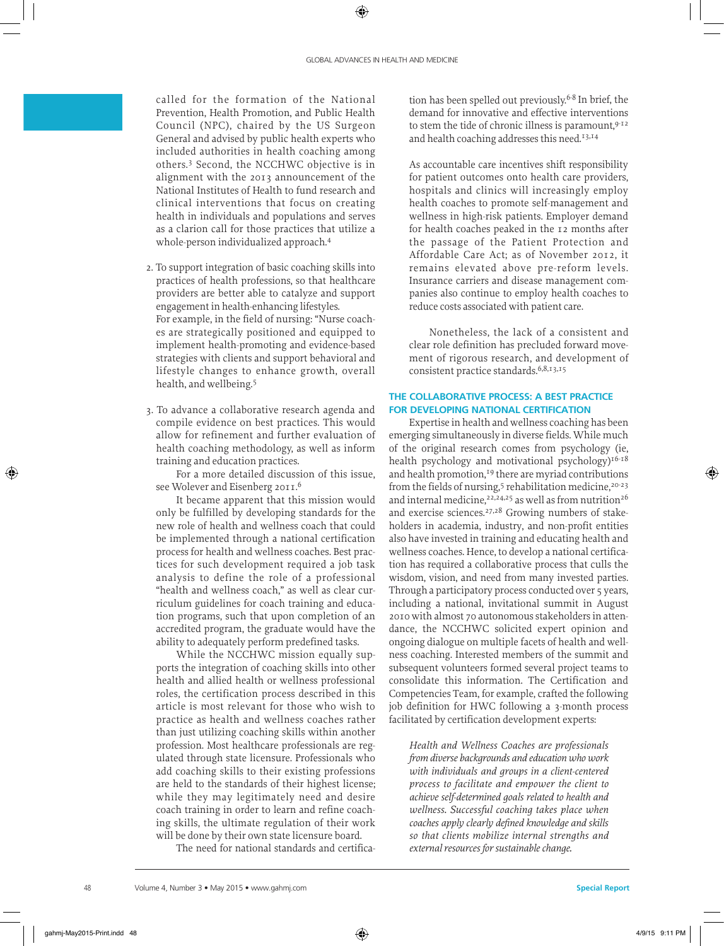called for the formation of the National Prevention, Health Promotion, and Public Health Council (NPC), chaired by the US Surgeon General and advised by public health experts who included authorities in health coaching among others.3 Second, the NCCHWC objective is in alignment with the 2013 announcement of the National Institutes of Health to fund research and clinical interventions that focus on creating health in individuals and populations and serves as a clarion call for those practices that utilize a whole-person individualized approach.4

2. To support integration of basic coaching skills into practices of health professions, so that healthcare providers are better able to catalyze and support engagement in health-enhancing lifestyles. For example, in the field of nursing: "Nurse coaches are strategically positioned and equipped to implement health-promoting and evidence-based strategies with clients and support behavioral and lifestyle changes to enhance growth, overall health, and wellbeing.5

3. To advance a collaborative research agenda and compile evidence on best practices. This would allow for refinement and further evaluation of health coaching methodology, as well as inform training and education practices.

For a more detailed discussion of this issue, see Wolever and Eisenberg 2011.<sup>6</sup>

 It became apparent that this mission would only be fulfilled by developing standards for the new role of health and wellness coach that could be implemented through a national certification process for health and wellness coaches. Best practices for such development required a job task analysis to define the role of a professional "health and wellness coach," as well as clear curriculum guidelines for coach training and education programs, such that upon completion of an accredited program, the graduate would have the ability to adequately perform predefined tasks.

While the NCCHWC mission equally supports the integration of coaching skills into other health and allied health or wellness professional roles, the certification process described in this article is most relevant for those who wish to practice as health and wellness coaches rather than just utilizing coaching skills within another profession. Most healthcare professionals are regulated through state licensure. Professionals who add coaching skills to their existing professions are held to the standards of their highest license; while they may legitimately need and desire coach training in order to learn and refine coaching skills, the ultimate regulation of their work will be done by their own state licensure board.

The need for national standards and certifica-

tion has been spelled out previously. $6-8$  In brief, the demand for innovative and effective interventions to stem the tide of chronic illness is paramount,  $9-12$ and health coaching addresses this need.<sup>13,14</sup>

As accountable care incentives shift responsibility for patient outcomes onto health care providers, hospitals and clinics will increasingly employ health coaches to promote self-management and wellness in high-risk patients. Employer demand for health coaches peaked in the 12 months after the passage of the Patient Protection and Affordable Care Act; as of November 2012, it remains elevated above pre-reform levels. Insurance carriers and disease management companies also continue to employ health coaches to reduce costs associated with patient care.

Nonetheless, the lack of a consistent and clear role definition has precluded forward movement of rigorous research, and development of consistent practice standards.<sup>6,8,13,15</sup>

### **The Collaborative Process: A Best Practice for Developing National Certification**

Expertise in health and wellness coaching has been emerging simultaneously in diverse fields. While much of the original research comes from psychology (ie, health psychology and motivational psychology)<sup>16-18</sup> and health promotion,<sup>19</sup> there are myriad contributions from the fields of nursing,<sup>5</sup> rehabilitation medicine,<sup>20-23</sup> and internal medicine,<sup>22,24,25</sup> as well as from nutrition<sup>26</sup> and exercise sciences.27,28 Growing numbers of stakeholders in academia, industry, and non-profit entities also have invested in training and educating health and wellness coaches. Hence, to develop a national certification has required a collaborative process that culls the wisdom, vision, and need from many invested parties. Through a participatory process conducted over 5 years, including a national, invitational summit in August 2010 with almost 70 autonomous stakeholders in attendance, the NCCHWC solicited expert opinion and ongoing dialogue on multiple facets of health and wellness coaching. Interested members of the summit and subsequent volunteers formed several project teams to consolidate this information. The Certification and Competencies Team, for example, crafted the following job definition for HWC following a 3-month process facilitated by certification development experts:

*Health and Wellness Coaches are professionals from diverse backgrounds and education who work with individuals and groups in a client-centered process to facilitate and empower the client to achieve self-determined goals related to health and wellness. Successful coaching takes place when coaches apply clearly defined knowledge and skills so that clients mobilize internal strengths and external resources for sustainable change.*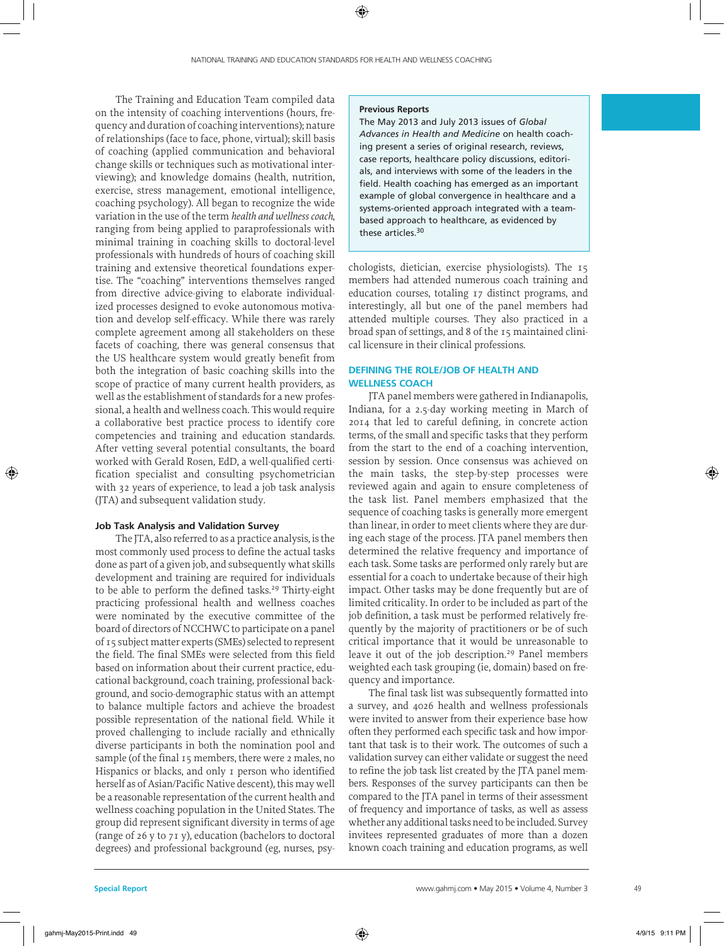The Training and Education Team compiled data on the intensity of coaching interventions (hours, frequency and duration of coaching interventions); nature of relationships (face to face, phone, virtual); skill basis of coaching (applied communication and behavioral change skills or techniques such as motivational interviewing); and knowledge domains (health, nutrition, exercise, stress management, emotional intelligence, coaching psychology). All began to recognize the wide variation in the use of the term *health and wellness coach*, ranging from being applied to paraprofessionals with minimal training in coaching skills to doctoral-level professionals with hundreds of hours of coaching skill training and extensive theoretical foundations expertise. The "coaching" interventions themselves ranged from directive advice-giving to elaborate individualized processes designed to evoke autonomous motivation and develop self-efficacy. While there was rarely complete agreement among all stakeholders on these facets of coaching, there was general consensus that the US healthcare system would greatly benefit from both the integration of basic coaching skills into the scope of practice of many current health providers, as well as the establishment of standards for a new professional, a health and wellness coach. This would require a collaborative best practice process to identify core competencies and training and education standards. After vetting several potential consultants, the board worked with Gerald Rosen, EdD, a well-qualified certification specialist and consulting psychometrician with 32 years of experience, to lead a job task analysis (JTA) and subsequent validation study.

### **Job Task Analysis and Validation Survey**

The JTA, also referred to as a practice analysis, is the most commonly used process to define the actual tasks done as part of a given job, and subsequently what skills development and training are required for individuals to be able to perform the defined tasks.<sup>29</sup> Thirty-eight practicing professional health and wellness coaches were nominated by the executive committee of the board of directors of NCCHWC to participate on a panel of 15 subject matter experts (SMEs) selected to represent the field. The final SMEs were selected from this field based on information about their current practice, educational background, coach training, professional background, and socio-demographic status with an attempt to balance multiple factors and achieve the broadest possible representation of the national field. While it proved challenging to include racially and ethnically diverse participants in both the nomination pool and sample (of the final 15 members, there were 2 males, no Hispanics or blacks, and only 1 person who identified herself as of Asian/Pacific Native descent), this may well be a reasonable representation of the current health and wellness coaching population in the United States. The group did represent significant diversity in terms of age (range of 26 y to 71 y), education (bachelors to doctoral degrees) and professional background (eg, nurses, psy-

#### **Previous Reports**

The May 2013 and July 2013 issues of *Global Advances in Health and Medicine* on health coaching present a series of original research, reviews, case reports, healthcare policy discussions, editorials, and interviews with some of the leaders in the field. Health coaching has emerged as an important example of global convergence in healthcare and a systems-oriented approach integrated with a teambased approach to healthcare, as evidenced by these articles.<sup>30</sup>

chologists, dietician, exercise physiologists). The 15 members had attended numerous coach training and education courses, totaling 17 distinct programs, and interestingly, all but one of the panel members had attended multiple courses. They also practiced in a broad span of settings, and 8 of the 15 maintained clinical licensure in their clinical professions.

### **Defining the Role/Job of Health and Wellness Coach**

JTA panel members were gathered in Indianapolis, Indiana, for a 2.5-day working meeting in March of 2014 that led to careful defining, in concrete action terms, of the small and specific tasks that they perform from the start to the end of a coaching intervention, session by session. Once consensus was achieved on the main tasks, the step-by-step processes were reviewed again and again to ensure completeness of the task list. Panel members emphasized that the sequence of coaching tasks is generally more emergent than linear, in order to meet clients where they are during each stage of the process. JTA panel members then determined the relative frequency and importance of each task. Some tasks are performed only rarely but are essential for a coach to undertake because of their high impact. Other tasks may be done frequently but are of limited criticality. In order to be included as part of the job definition, a task must be performed relatively frequently by the majority of practitioners or be of such critical importance that it would be unreasonable to leave it out of the job description.<sup>29</sup> Panel members weighted each task grouping (ie, domain) based on frequency and importance.

The final task list was subsequently formatted into a survey, and 4026 health and wellness professionals were invited to answer from their experience base how often they performed each specific task and how important that task is to their work. The outcomes of such a validation survey can either validate or suggest the need to refine the job task list created by the JTA panel members. Responses of the survey participants can then be compared to the JTA panel in terms of their assessment of frequency and importance of tasks, as well as assess whether any additional tasks need to be included. Survey invitees represented graduates of more than a dozen known coach training and education programs, as well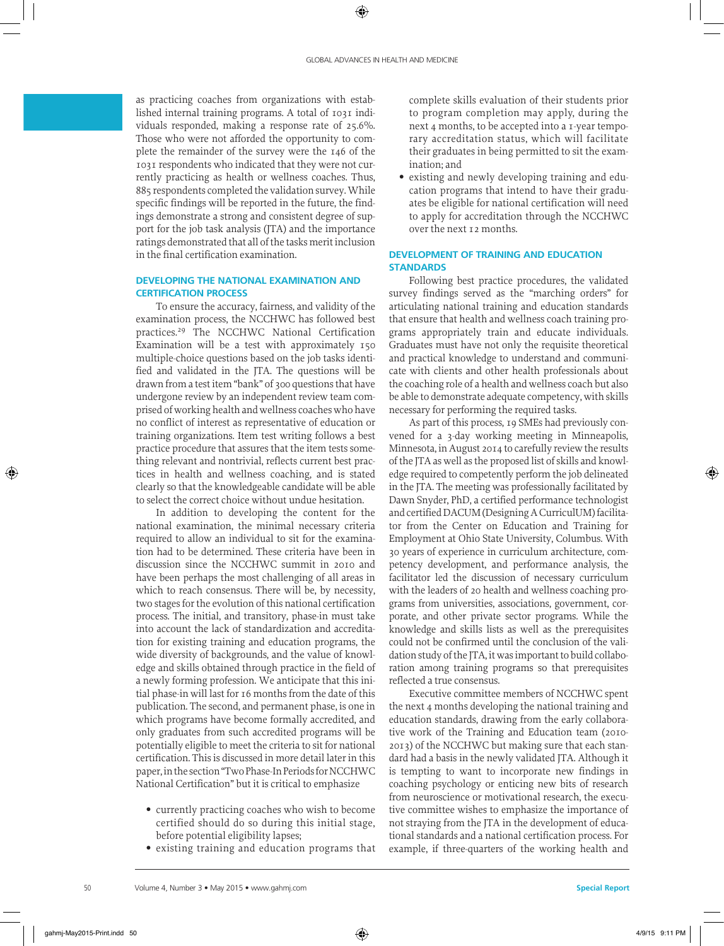as practicing coaches from organizations with established internal training programs. A total of 1031 individuals responded, making a response rate of 25.6%. Those who were not afforded the opportunity to complete the remainder of the survey were the 146 of the 1031 respondents who indicated that they were not currently practicing as health or wellness coaches. Thus, 885 respondents completed the validation survey. While specific findings will be reported in the future, the findings demonstrate a strong and consistent degree of support for the job task analysis (JTA) and the importance ratings demonstrated that all of the tasks merit inclusion in the final certification examination.

### **Developing the National ExamINATION and Certification Process**

To ensure the accuracy, fairness, and validity of the examination process, the NCCHWC has followed best practices.29 The NCCHWC National Certification Examination will be a test with approximately 150 multiple-choice questions based on the job tasks identified and validated in the JTA. The questions will be drawn from a test item "bank" of 300 questions that have undergone review by an independent review team comprised of working health and wellness coaches who have no conflict of interest as representative of education or training organizations. Item test writing follows a best practice procedure that assures that the item tests something relevant and nontrivial, reflects current best practices in health and wellness coaching, and is stated clearly so that the knowledgeable candidate will be able to select the correct choice without undue hesitation.

In addition to developing the content for the national examination, the minimal necessary criteria required to allow an individual to sit for the examination had to be determined. These criteria have been in discussion since the NCCHWC summit in 2010 and have been perhaps the most challenging of all areas in which to reach consensus. There will be, by necessity, two stages for the evolution of this national certification process. The initial, and transitory, phase-in must take into account the lack of standardization and accreditation for existing training and education programs, the wide diversity of backgrounds, and the value of knowledge and skills obtained through practice in the field of a newly forming profession. We anticipate that this initial phase-in will last for 16 months from the date of this publication. The second, and permanent phase, is one in which programs have become formally accredited, and only graduates from such accredited programs will be potentially eligible to meet the criteria to sit for national certification. This is discussed in more detail later in this paper, in the section "Two Phase-In Periods for NCCHWC National Certification" but it is critical to emphasize

- currently practicing coaches who wish to become certified should do so during this initial stage, before potential eligibility lapses;
- existing training and education programs that

complete skills evaluation of their students prior to program completion may apply, during the next 4 months, to be accepted into a 1-year temporary accreditation status, which will facilitate their graduates in being permitted to sit the examination; and

• existing and newly developing training and education programs that intend to have their graduates be eligible for national certification will need to apply for accreditation through the NCCHWC over the next 12 months.

### **Development of Training and Education Standards**

Following best practice procedures, the validated survey findings served as the "marching orders" for articulating national training and education standards that ensure that health and wellness coach training programs appropriately train and educate individuals. Graduates must have not only the requisite theoretical and practical knowledge to understand and communicate with clients and other health professionals about the coaching role of a health and wellness coach but also be able to demonstrate adequate competency, with skills necessary for performing the required tasks.

As part of this process, 19 SMEs had previously convened for a 3-day working meeting in Minneapolis, Minnesota, in August 2014 to carefully review the results of the JTA as well as the proposed list of skills and knowledge required to competently perform the job delineated in the JTA. The meeting was professionally facilitated by Dawn Snyder, PhD, a certified performance technologist and certified DACUM (Designing A CurriculUM) facilitator from the Center on Education and Training for Employment at Ohio State University, Columbus. With 30 years of experience in curriculum architecture, competency development, and performance analysis, the facilitator led the discussion of necessary curriculum with the leaders of 20 health and wellness coaching programs from universities, associations, government, corporate, and other private sector programs. While the knowledge and skills lists as well as the prerequisites could not be confirmed until the conclusion of the validation study of the JTA, it was important to build collaboration among training programs so that prerequisites reflected a true consensus.

Executive committee members of NCCHWC spent the next 4 months developing the national training and education standards, drawing from the early collaborative work of the Training and Education team (2010- 2013) of the NCCHWC but making sure that each standard had a basis in the newly validated JTA. Although it is tempting to want to incorporate new findings in coaching psychology or enticing new bits of research from neuroscience or motivational research, the executive committee wishes to emphasize the importance of not straying from the JTA in the development of educational standards and a national certification process. For example, if three-quarters of the working health and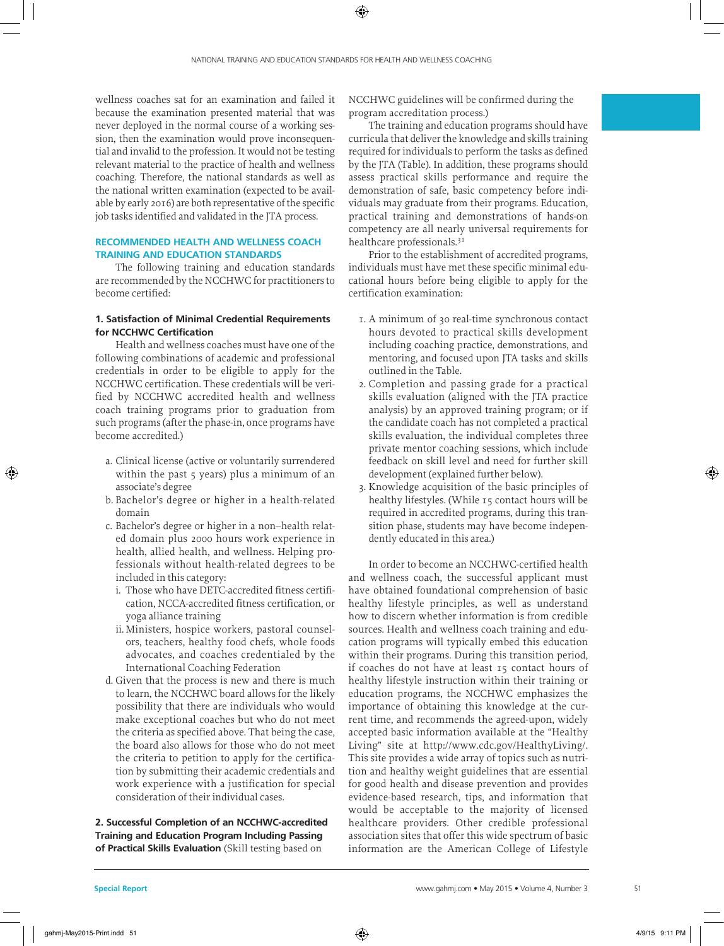wellness coaches sat for an examination and failed it because the examination presented material that was never deployed in the normal course of a working session, then the examination would prove inconsequential and invalid to the profession. It would not be testing relevant material to the practice of health and wellness coaching. Therefore, the national standards as well as the national written examination (expected to be available by early 2016) are both representative of the specific job tasks identified and validated in the JTA process.

### **Recommended Health and Wellness Coach Training and Education Standards**

The following training and education standards are recommended by the NCCHWC for practitioners to become certified:

### **1. Satisfaction of Minimal Credential Requirements for NCCHWC Certification**

Health and wellness coaches must have one of the following combinations of academic and professional credentials in order to be eligible to apply for the NCCHWC certification. These credentials will be verified by NCCHWC accredited health and wellness coach training programs prior to graduation from such programs (after the phase-in, once programs have become accredited.)

- a. Clinical license (active or voluntarily surrendered within the past 5 years) plus a minimum of an associate's degree
- b. Bachelor's degree or higher in a health-related domain
- c. Bachelor's degree or higher in a non–health related domain plus 2000 hours work experience in health, allied health, and wellness. Helping professionals without health-related degrees to be included in this category:
	- i. Those who have DETC-accredited fitness certification, NCCA-accredited fitness certification, or yoga alliance training
	- ii. Ministers, hospice workers, pastoral counselors, teachers, healthy food chefs, whole foods advocates, and coaches credentialed by the International Coaching Federation
- d. Given that the process is new and there is much to learn, the NCCHWC board allows for the likely possibility that there are individuals who would make exceptional coaches but who do not meet the criteria as specified above. That being the case, the board also allows for those who do not meet the criteria to petition to apply for the certification by submitting their academic credentials and work experience with a justification for special consideration of their individual cases.

**2. Successful Completion of an NCCHWC-accredited Training and Education Program Including Passing of Practical Skills Evaluation** (Skill testing based on

NCCHWC guidelines will be confirmed during the program accreditation process.)

The training and education programs should have curricula that deliver the knowledge and skills training required for individuals to perform the tasks as defined by the JTA (Table). In addition, these programs should assess practical skills performance and require the demonstration of safe, basic competency before individuals may graduate from their programs. Education, practical training and demonstrations of hands-on competency are all nearly universal requirements for healthcare professionals.31

Prior to the establishment of accredited programs, individuals must have met these specific minimal educational hours before being eligible to apply for the certification examination:

- 1. A minimum of 30 real-time synchronous contact hours devoted to practical skills development including coaching practice, demonstrations, and mentoring, and focused upon JTA tasks and skills outlined in the Table.
- 2. Completion and passing grade for a practical skills evaluation (aligned with the JTA practice analysis) by an approved training program; or if the candidate coach has not completed a practical skills evaluation, the individual completes three private mentor coaching sessions, which include feedback on skill level and need for further skill development (explained further below).
- 3. Knowledge acquisition of the basic principles of healthy lifestyles. (While 15 contact hours will be required in accredited programs, during this transition phase, students may have become independently educated in this area.)

In order to become an NCCHWC-certified health and wellness coach, the successful applicant must have obtained foundational comprehension of basic healthy lifestyle principles, as well as understand how to discern whether information is from credible sources. Health and wellness coach training and education programs will typically embed this education within their programs. During this transition period, if coaches do not have at least 15 contact hours of healthy lifestyle instruction within their training or education programs, the NCCHWC emphasizes the importance of obtaining this knowledge at the current time, and recommends the agreed-upon, widely accepted basic information available at the "Healthy Living" site at http://www.cdc.gov/HealthyLiving/. This site provides a wide array of topics such as nutrition and healthy weight guidelines that are essential for good health and disease prevention and provides evidence-based research, tips, and information that would be acceptable to the majority of licensed healthcare providers. Other credible professional association sites that offer this wide spectrum of basic information are the American College of Lifestyle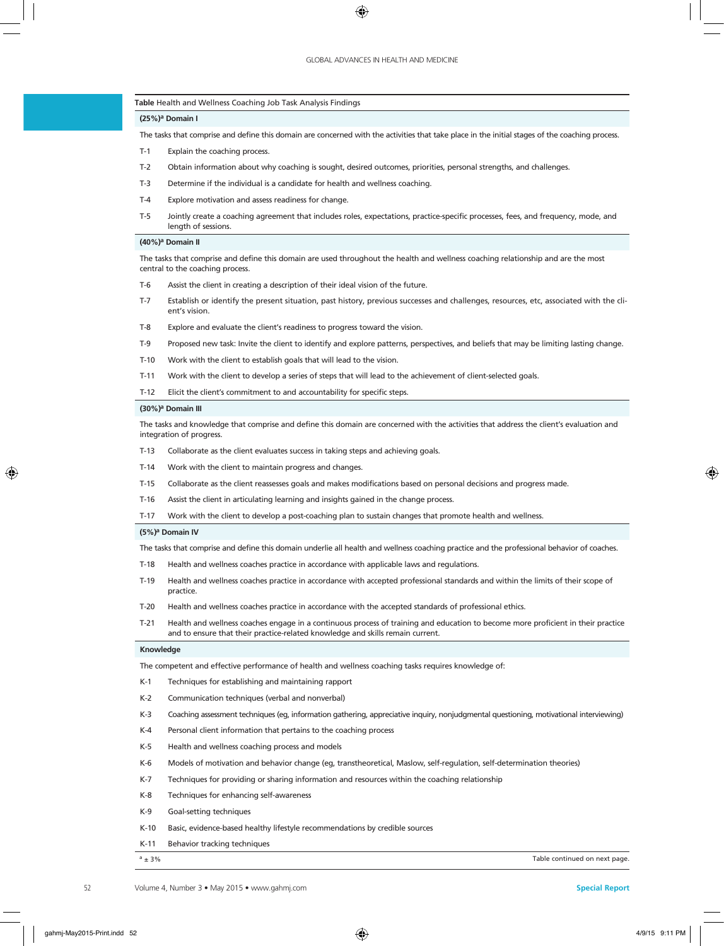#### **Table** Health and Wellness Coaching Job Task Analysis Findings

#### **(25%)a Domain I**

The tasks that comprise and define this domain are concerned with the activities that take place in the initial stages of the coaching process.

- T-1 Explain the coaching process.
- T-2 Obtain information about why coaching is sought, desired outcomes, priorities, personal strengths, and challenges.
- T-3 Determine if the individual is a candidate for health and wellness coaching.
- T-4 Explore motivation and assess readiness for change.
- T-5 Jointly create a coaching agreement that includes roles, expectations, practice-specific processes, fees, and frequency, mode, and length of sessions.

#### **(40%)a Domain II**

The tasks that comprise and define this domain are used throughout the health and wellness coaching relationship and are the most central to the coaching process.

- T-6 Assist the client in creating a description of their ideal vision of the future.
- T-7 Establish or identify the present situation, past history, previous successes and challenges, resources, etc, associated with the client's vision.
- T-8 Explore and evaluate the client's readiness to progress toward the vision.
- T-9 Proposed new task: Invite the client to identify and explore patterns, perspectives, and beliefs that may be limiting lasting change.
- T-10 Work with the client to establish goals that will lead to the vision.
- T-11 Work with the client to develop a series of steps that will lead to the achievement of client-selected goals.
- T-12 Elicit the client's commitment to and accountability for specific steps.

#### **(30%)a Domain III**

The tasks and knowledge that comprise and define this domain are concerned with the activities that address the client's evaluation and integration of progress.

- T-13 Collaborate as the client evaluates success in taking steps and achieving goals.
- T-14 Work with the client to maintain progress and changes.
- T-15 Collaborate as the client reassesses goals and makes modifications based on personal decisions and progress made.
- T-16 Assist the client in articulating learning and insights gained in the change process.
- T-17 Work with the client to develop a post-coaching plan to sustain changes that promote health and wellness.

#### **(5%)a Domain IV**

The tasks that comprise and define this domain underlie all health and wellness coaching practice and the professional behavior of coaches.

- T-18 Health and wellness coaches practice in accordance with applicable laws and regulations.
- T-19 Health and wellness coaches practice in accordance with accepted professional standards and within the limits of their scope of practice.
- T-20 Health and wellness coaches practice in accordance with the accepted standards of professional ethics.
- T-21 Health and wellness coaches engage in a continuous process of training and education to become more proficient in their practice and to ensure that their practice-related knowledge and skills remain current.

#### **Knowledge**

The competent and effective performance of health and wellness coaching tasks requires knowledge of:

- K-1 Techniques for establishing and maintaining rapport
- K-2 Communication techniques (verbal and nonverbal)
- K-3 Coaching assessment techniques (eg, information gathering, appreciative inquiry, nonjudgmental questioning, motivational interviewing)
- K-4 Personal client information that pertains to the coaching process
- K-5 Health and wellness coaching process and models
- K-6 Models of motivation and behavior change (eg, transtheoretical, Maslow, self-regulation, self-determination theories)
- K-7 Techniques for providing or sharing information and resources within the coaching relationship
- K-8 Techniques for enhancing self-awareness
- K-9 Goal-setting techniques
- K-10 Basic, evidence-based healthy lifestyle recommendations by credible sources
- K-11 Behavior tracking techniques

 $a \pm 3\%$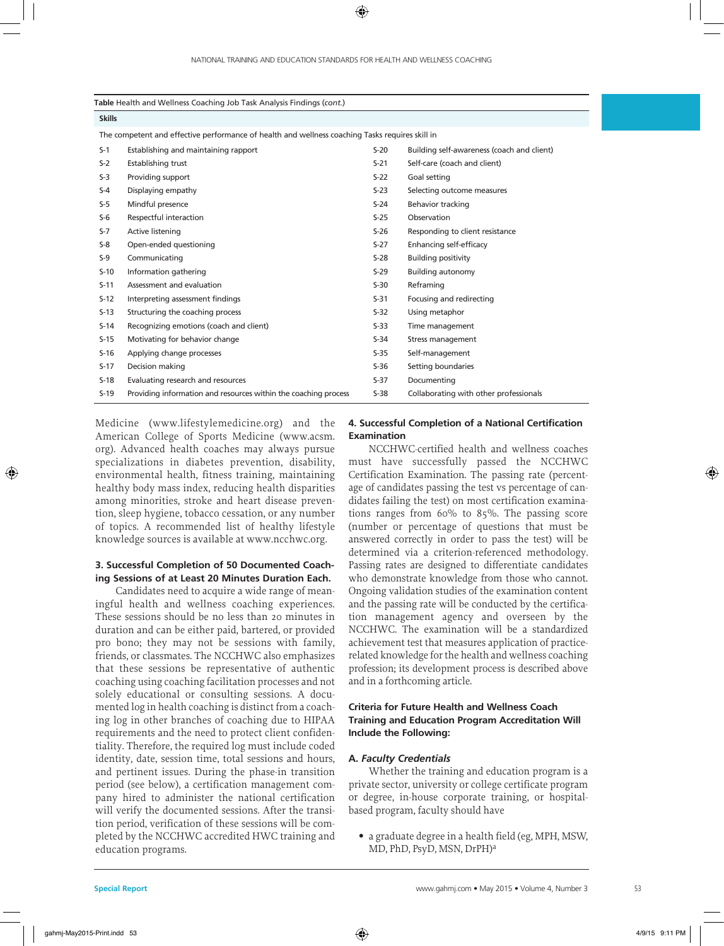#### **Table** Health and Wellness Coaching Job Task Analysis Findings (*cont.*)

| <b>Skills</b>                                                                                   |                                                                 |        |                                            |
|-------------------------------------------------------------------------------------------------|-----------------------------------------------------------------|--------|--------------------------------------------|
| The competent and effective performance of health and wellness coaching Tasks requires skill in |                                                                 |        |                                            |
| $S-1$                                                                                           | Establishing and maintaining rapport                            | $S-20$ | Building self-awareness (coach and client) |
| $S-2$                                                                                           | Establishing trust                                              | $S-21$ | Self-care (coach and client)               |
| $S-3$                                                                                           | Providing support                                               | $S-22$ | Goal setting                               |
| $S-4$                                                                                           | Displaying empathy                                              | $S-23$ | Selecting outcome measures                 |
| $S-5$                                                                                           | Mindful presence                                                | $S-24$ | Behavior tracking                          |
| $S-6$                                                                                           | Respectful interaction                                          | $S-25$ | Observation                                |
| $S-7$                                                                                           | Active listening                                                | $S-26$ | Responding to client resistance            |
| $S-8$                                                                                           | Open-ended questioning                                          | $S-27$ | Enhancing self-efficacy                    |
| $S-9$                                                                                           | Communicating                                                   | $S-28$ | <b>Building positivity</b>                 |
| $S-10$                                                                                          | Information gathering                                           | $S-29$ | <b>Building autonomy</b>                   |
| $S-11$                                                                                          | Assessment and evaluation                                       | $S-30$ | Reframing                                  |
| $S-12$                                                                                          | Interpreting assessment findings                                | $S-31$ | Focusing and redirecting                   |
| $S-13$                                                                                          | Structuring the coaching process                                | $S-32$ | Using metaphor                             |
| $S-14$                                                                                          | Recognizing emotions (coach and client)                         | $S-33$ | Time management                            |
| $S-15$                                                                                          | Motivating for behavior change                                  | $S-34$ | Stress management                          |
| $S-16$                                                                                          | Applying change processes                                       | $S-35$ | Self-management                            |
| $S-17$                                                                                          | Decision making                                                 | $S-36$ | Setting boundaries                         |
| $S-18$                                                                                          | Evaluating research and resources                               | $S-37$ | Documenting                                |
| $S-19$                                                                                          | Providing information and resources within the coaching process | $S-38$ | Collaborating with other professionals     |

Medicine (www.lifestylemedicine.org) and the American College of Sports Medicine (www.acsm. org). Advanced health coaches may always pursue specializations in diabetes prevention, disability, environmental health, fitness training, maintaining healthy body mass index, reducing health disparities among minorities, stroke and heart disease prevention, sleep hygiene, tobacco cessation, or any number of topics. A recommended list of healthy lifestyle knowledge sources is available at www.ncchwc.org.

### **3. Successful Completion of 50 Documented Coaching Sessions of at Least 20 Minutes Duration Each.**

Candidates need to acquire a wide range of meaningful health and wellness coaching experiences. These sessions should be no less than 20 minutes in duration and can be either paid, bartered, or provided pro bono; they may not be sessions with family, friends, or classmates. The NCCHWC also emphasizes that these sessions be representative of authentic coaching using coaching facilitation processes and not solely educational or consulting sessions. A documented log in health coaching is distinct from a coaching log in other branches of coaching due to HIPAA requirements and the need to protect client confidentiality. Therefore, the required log must include coded identity, date, session time, total sessions and hours, and pertinent issues. During the phase-in transition period (see below), a certification management company hired to administer the national certification will verify the documented sessions. After the transition period, verification of these sessions will be completed by the NCCHWC accredited HWC training and education programs.

### **4. Successful Completion of a National Certification Examination**

NCCHWC-certified health and wellness coaches must have successfully passed the NCCHWC Certification Examination. The passing rate (percentage of candidates passing the test vs percentage of candidates failing the test) on most certification examinations ranges from 60% to 85%. The passing score (number or percentage of questions that must be answered correctly in order to pass the test) will be determined via a criterion-referenced methodology. Passing rates are designed to differentiate candidates who demonstrate knowledge from those who cannot. Ongoing validation studies of the examination content and the passing rate will be conducted by the certification management agency and overseen by the NCCHWC. The examination will be a standardized achievement test that measures application of practicerelated knowledge for the health and wellness coaching profession; its development process is described above and in a forthcoming article.

### **Criteria for Future Health and Wellness Coach Training and Education Program Accreditation Will Include the Following:**

### **A.** *Faculty Credentials*

Whether the training and education program is a private sector, university or college certificate program or degree, in-house corporate training, or hospitalbased program, faculty should have

• a graduate degree in a health field (eg, MPH, MSW, MD, PhD, PsyD, MSN, DrPH)a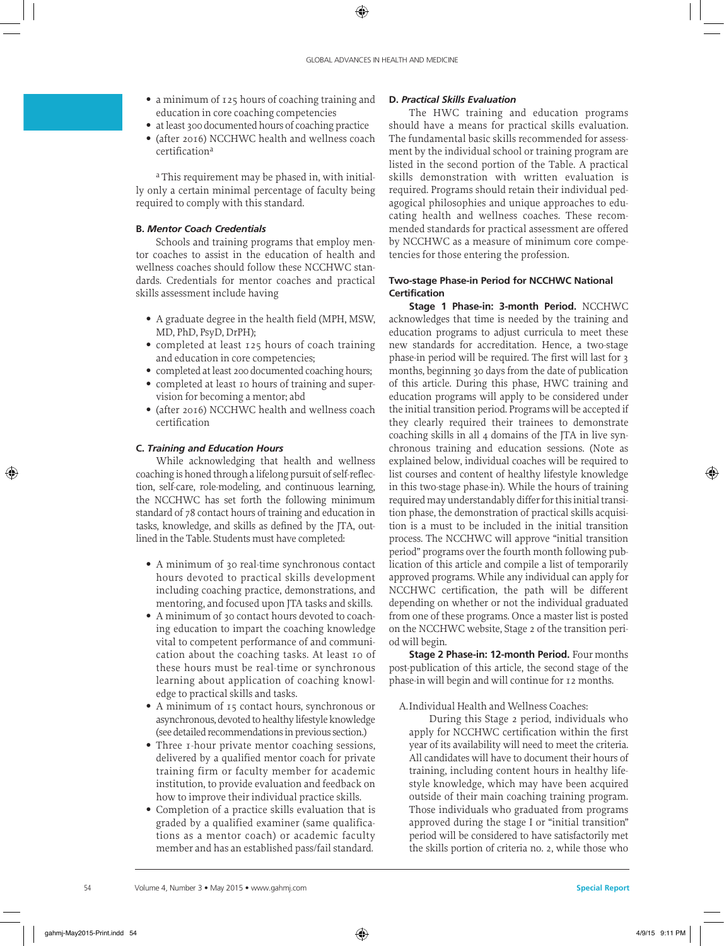- a minimum of 125 hours of coaching training and education in core coaching competencies
- at least 300 documented hours of coaching practice
- (after 2016) NCCHWC health and wellness coach certification<sup>a</sup>

a This requirement may be phased in, with initially only a certain minimal percentage of faculty being required to comply with this standard.

### **B.** *Mentor Coach Credentials*

Schools and training programs that employ mentor coaches to assist in the education of health and wellness coaches should follow these NCCHWC standards. Credentials for mentor coaches and practical skills assessment include having

- A graduate degree in the health field (MPH, MSW, MD, PhD, PsyD, DrPH);
- completed at least 125 hours of coach training and education in core competencies;
- completed at least 200 documented coaching hours;
- completed at least 10 hours of training and supervision for becoming a mentor; abd
- (after 2016) NCCHWC health and wellness coach certification

### **C.** *Training and Education Hours*

While acknowledging that health and wellness coaching is honed through a lifelong pursuit of self-reflection, self-care, role-modeling, and continuous learning, the NCCHWC has set forth the following minimum standard of 78 contact hours of training and education in tasks, knowledge, and skills as defined by the JTA, outlined in the Table. Students must have completed:

- A minimum of 30 real-time synchronous contact hours devoted to practical skills development including coaching practice, demonstrations, and mentoring, and focused upon JTA tasks and skills.
- A minimum of 30 contact hours devoted to coaching education to impart the coaching knowledge vital to competent performance of and communication about the coaching tasks. At least 10 of these hours must be real-time or synchronous learning about application of coaching knowledge to practical skills and tasks.
- A minimum of 15 contact hours, synchronous or asynchronous, devoted to healthy lifestyle knowledge (see detailed recommendations in previous section.)
- Three 1-hour private mentor coaching sessions, delivered by a qualified mentor coach for private training firm or faculty member for academic institution, to provide evaluation and feedback on how to improve their individual practice skills.
- Completion of a practice skills evaluation that is graded by a qualified examiner (same qualifications as a mentor coach) or academic faculty member and has an established pass/fail standard.

### **D.** *Practical Skills Evaluation*

The HWC training and education programs should have a means for practical skills evaluation. The fundamental basic skills recommended for assessment by the individual school or training program are listed in the second portion of the Table. A practical skills demonstration with written evaluation is required. Programs should retain their individual pedagogical philosophies and unique approaches to educating health and wellness coaches. These recommended standards for practical assessment are offered by NCCHWC as a measure of minimum core competencies for those entering the profession.

## **Two-stage Phase-in Period for NCCHWC National Certification**

**Stage 1 Phase-in: 3-month Period.** NCCHWC acknowledges that time is needed by the training and education programs to adjust curricula to meet these new standards for accreditation. Hence, a two-stage phase-in period will be required. The first will last for 3 months, beginning 30 days from the date of publication of this article. During this phase, HWC training and education programs will apply to be considered under the initial transition period. Programs will be accepted if they clearly required their trainees to demonstrate coaching skills in all 4 domains of the JTA in live synchronous training and education sessions. (Note as explained below, individual coaches will be required to list courses and content of healthy lifestyle knowledge in this two-stage phase-in). While the hours of training required may understandably differ for this initial transition phase, the demonstration of practical skills acquisition is a must to be included in the initial transition process. The NCCHWC will approve "initial transition period" programs over the fourth month following publication of this article and compile a list of temporarily approved programs. While any individual can apply for NCCHWC certification, the path will be different depending on whether or not the individual graduated from one of these programs. Once a master list is posted on the NCCHWC website, Stage 2 of the transition period will begin.

**Stage 2 Phase-in: 12-month Period.** Four months post-publication of this article, the second stage of the phase-in will begin and will continue for 12 months.

A.Individual Health and Wellness Coaches:

During this Stage 2 period, individuals who apply for NCCHWC certification within the first year of its availability will need to meet the criteria. All candidates will have to document their hours of training, including content hours in healthy lifestyle knowledge, which may have been acquired outside of their main coaching training program. Those individuals who graduated from programs approved during the stage I or "initial transition" period will be considered to have satisfactorily met the skills portion of criteria no. 2, while those who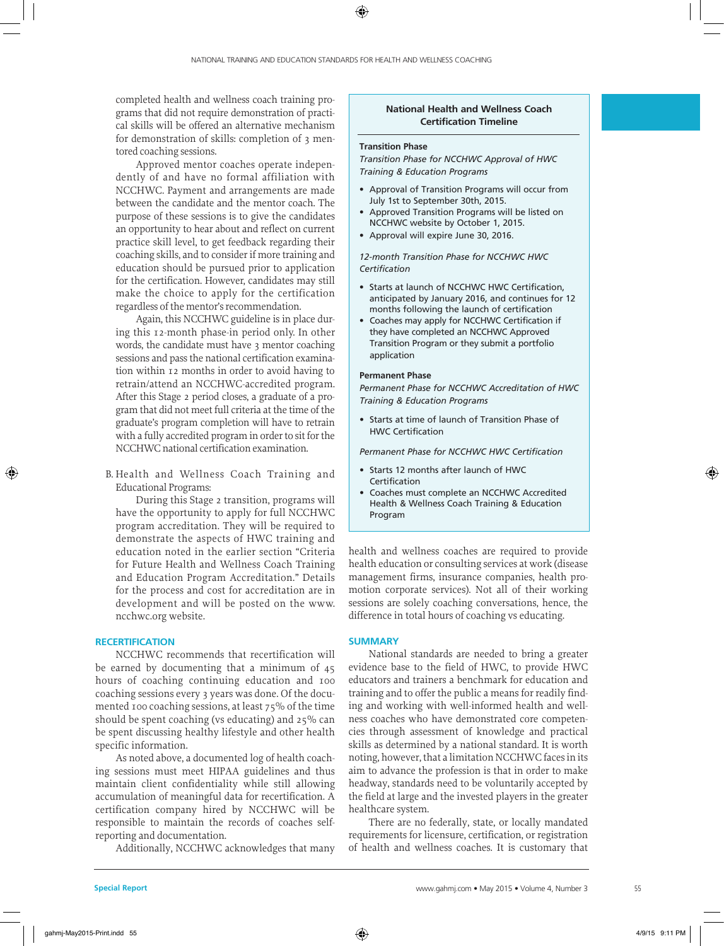completed health and wellness coach training programs that did not require demonstration of practical skills will be offered an alternative mechanism for demonstration of skills: completion of 3 mentored coaching sessions.

Approved mentor coaches operate independently of and have no formal affiliation with NCCHWC. Payment and arrangements are made between the candidate and the mentor coach. The purpose of these sessions is to give the candidates an opportunity to hear about and reflect on current practice skill level, to get feedback regarding their coaching skills, and to consider if more training and education should be pursued prior to application for the certification. However, candidates may still make the choice to apply for the certification regardless of the mentor's recommendation.

Again, this NCCHWC guideline is in place during this 12-month phase-in period only. In other words, the candidate must have 3 mentor coaching sessions and pass the national certification examination within 12 months in order to avoid having to retrain/attend an NCCHWC-accredited program. After this Stage 2 period closes, a graduate of a program that did not meet full criteria at the time of the graduate's program completion will have to retrain with a fully accredited program in order to sit for the NCCHWC national certification examination.

B. Health and Wellness Coach Training and Educational Programs:

During this Stage 2 transition, programs will have the opportunity to apply for full NCCHWC program accreditation. They will be required to demonstrate the aspects of HWC training and education noted in the earlier section "Criteria for Future Health and Wellness Coach Training and Education Program Accreditation." Details for the process and cost for accreditation are in development and will be posted on the www. ncchwc.org website.

### **Recertification**

NCCHWC recommends that recertification will be earned by documenting that a minimum of 45 hours of coaching continuing education and 100 coaching sessions every 3 years was done. Of the documented 100 coaching sessions, at least 75% of the time should be spent coaching (vs educating) and 25% can be spent discussing healthy lifestyle and other health specific information.

As noted above, a documented log of health coaching sessions must meet HIPAA guidelines and thus maintain client confidentiality while still allowing accumulation of meaningful data for recertification. A certification company hired by NCCHWC will be responsible to maintain the records of coaches selfreporting and documentation.

Additionally, NCCHWC acknowledges that many

### **National Health and Wellness Coach Certification Timeline**

#### **Transition Phase**

*Transition Phase for NCCHWC Approval of HWC Training & Education Programs* 

- • Approval of Transition Programs will occur from July 1st to September 30th, 2015.
- • Approved Transition Programs will be listed on NCCHWC website by October 1, 2015.
- • Approval will expire June 30, 2016.

*12-month Transition Phase for NCCHWC HWC Certification* 

- Starts at launch of NCCHWC HWC Certification, anticipated by January 2016, and continues for 12 months following the launch of certification
- Coaches may apply for NCCHWC Certification if they have completed an NCCHWC Approved Transition Program or they submit a portfolio application

### **Permanent Phase**

*Permanent Phase for NCCHWC Accreditation of HWC Training & Education Programs*

Starts at time of launch of Transition Phase of HWC Certification

*Permanent Phase for NCCHWC HWC Certification*

- Starts 12 months after launch of HWC Certification
- • Coaches must complete an NCCHWC Accredited Health & Wellness Coach Training & Education Program

health and wellness coaches are required to provide health education or consulting services at work (disease management firms, insurance companies, health promotion corporate services). Not all of their working sessions are solely coaching conversations, hence, the difference in total hours of coaching vs educating.

### **SUMMARY**

National standards are needed to bring a greater evidence base to the field of HWC, to provide HWC educators and trainers a benchmark for education and training and to offer the public a means for readily finding and working with well-informed health and wellness coaches who have demonstrated core competencies through assessment of knowledge and practical skills as determined by a national standard. It is worth noting, however, that a limitation NCCHWC faces in its aim to advance the profession is that in order to make headway, standards need to be voluntarily accepted by the field at large and the invested players in the greater healthcare system.

There are no federally, state, or locally mandated requirements for licensure, certification, or registration of health and wellness coaches. It is customary that